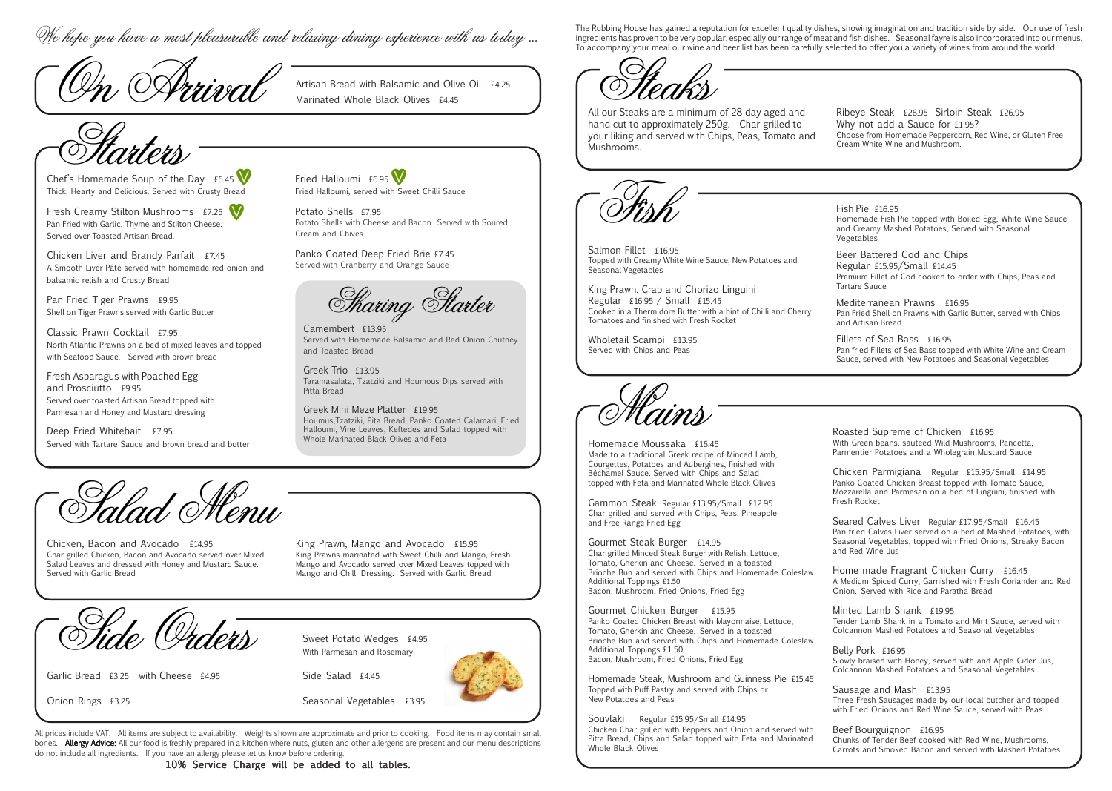Chef's Homemade Soup of the Day  $£6.45$  V Thick, Hearty and Delicious. Served with Crusty Bread

Fresh Creamy Stilton Mushrooms £7.25 Pan Fried with Garlic, Thyme and Stilton Cheese. Served over Toasted Artisan Bread.

Chicken Liver and Brandy Parfait £7.45 A Smooth Liver Pâté served with homemade red onion and balsamic relish and Crusty Bread

Pan Fried Tiger Prawns £9.95 Shell on Tiger Prawns served with Garlic Butter

Deep Fried Whitebait £7.95 Served with Tartare Sauce and brown bread and butter

Salmon Fillet £16.95 Topped with Creamy White Wine Sauce, New Potatoes Seasonal Vegetables

Classic Prawn Cocktail £7.95 North Atlantic Prawns on a bed of mixed leaves and topped with Seafood Sauce. Served with brown bread

Fresh Asparagus with Poached Egg and Prosciutto £9.95 Served over toasted Artisan Bread topped with Parmesan and Honey and Mustard dressing

King Prawn, Crab and Chorizo Linguini Regular £16.95 / Small £15.45 Cooked in a Thermidore Butter with a hint of Chilli and Tomatoes and finished with Fresh Rocket

Wholetail Scampi £13.95 Served with Chips and Peas



Potato Shells £7.95 Potato Shells with Cheese and Bacon. Served with Soured Cream and Chives

Artisan Bread with Balsamic and Olive Oil  $£4.25$ <br>Marinated Whole Black Olives  $£4.45$ 

Panko Coated Deep Fried Brie £7.45 Served with Cranberry and Orange Sauce

**Sharing Starter** 

Sweet Potato Wedges £4.95 With Parmesan and Rosemary

All our Steaks are a minimum of 28 day aged hand cut to approximately 250g. Char grilled your liking and served with Chips, Peas, Toma Mushrooms.



Camembert £13.95 Served with Homemade Balsamic and Red Onion Chutney and Toasted Bread

Greek Trio £13.95 Taramasalata, Tzatziki and Houmous Dips served with Pitta Bread

Greek Mini Meze Platter £19.95 Houmus,Tzatziki, Pita Bread, Panko Coated Calamari, Fried Halloumi, Vine Leaves, Keftedes and Salad topped with Whole Marinated Black Olives and Feta



Chicken, Bacon and Avocado £14.95 Char grilled Chicken, Bacon and Avocado served over Mixed Salad Leaves and dressed with Honey and Mustard Sauce. Served with Garlic Bread

King Prawn, Mango and Avocado £15.95 King Prawns marinated with Sweet Chilli and Mango, Fresh Mango and Avocado served over Mixed Leaves topped with Mango and Chilli Dressing. Served with Garlic Bread

Side Orders

Starters

Garlic Bread £3.25 with Cheese £4.95

Onion Rings £3.25

Side Salad £4.45

Seasonal Vegetables £3.95

Steaks

Homemade Steak, Mushroom and Guinness Pie Topped with Puff Pastry and served with Chips or New Potatoes and Peas

Mains

| Tiedki                                                                                                                                                                                                                       |                                                                                                                                                                                                                              |
|------------------------------------------------------------------------------------------------------------------------------------------------------------------------------------------------------------------------------|------------------------------------------------------------------------------------------------------------------------------------------------------------------------------------------------------------------------------|
| our Steaks are a minimum of 28 day aged and<br>nd cut to approximately 250g. Char grilled to<br>ur liking and served with Chips, Peas, Tomato and<br>shrooms.                                                                | Ribeye Steak £26.95 Sirloin Steak £26.95<br>Why not add a Sauce for £1.95?<br>Choose from Homemade Peppercorn, Red Wine, or Gluten Free<br>Cream White Wine and Mushroom.                                                    |
|                                                                                                                                                                                                                              |                                                                                                                                                                                                                              |
|                                                                                                                                                                                                                              | Fish Pie £16.95<br>Homemade Fish Pie topped with Boiled Egg, White Wine Sauce<br>and Creamy Mashed Potatoes, Served with Seasonal<br>Vegetables                                                                              |
| lmon Fillet £16.95<br>ped with Creamy White Wine Sauce, New Potatoes and<br>sonal Vegetables<br>g Prawn, Crab and Chorizo Linguini                                                                                           | Beer Battered Cod and Chips<br>Regular £15.95/Small £14.45<br>Premium Fillet of Cod cooked to order with Chips, Peas and<br><b>Tartare Sauce</b>                                                                             |
| gular £16.95 / Small £15.45<br>oked in a Thermidore Butter with a hint of Chilli and Cherry<br>natoes and finished with Fresh Rocket                                                                                         | Mediterranean Prawns £16.95<br>Pan Fried Shell on Prawns with Garlic Butter, served with Chips<br>and Artisan Bread                                                                                                          |
| oletail Scampi £13.95<br>ved with Chips and Peas                                                                                                                                                                             | Fillets of Sea Bass £16.95<br>Pan fried Fillets of Sea Bass topped with White Wine and Cream<br>Sauce, served with New Potatoes and Seasonal Vegetables                                                                      |
| <b>IIMD</b>                                                                                                                                                                                                                  |                                                                                                                                                                                                                              |
| memade Moussaka £16.45<br>de to a traditional Greek recipe of Minced Lamb,<br>irgettes, Potatoes and Aubergines, finished with<br>hamel Sauce. Served with Chips and Salad<br>ped with Feta and Marinated Whole Black Olives | Roasted Supreme of Chicken £16.95<br>With Green beans, sauteed Wild Mushrooms, Pancetta,                                                                                                                                     |
|                                                                                                                                                                                                                              | Parmentier Potatoes and a Wholegrain Mustard Sauce<br>Chicken Parmigiana Regular £15.95/Small £14.95<br>Panko Coated Chicken Breast topped with Tomato Sauce,<br>Mozzarella and Parmesan on a bed of Linguini, finished with |
| mmon Steak Regular £13.95/Small £12.95<br>ar grilled and served with Chips, Peas, Pineapple<br>I Free Range Fried Egg                                                                                                        | Fresh Rocket<br>Seared Calves Liver Regular £17.95/Small £16.45<br>Pan fried Calves Liver served on a bed of Mashed Potatoes, with                                                                                           |
| urmet Steak Burger £14.95<br>ar grilled Minced Steak Burger with Relish, Lettuce,<br>nato, Gherkin and Cheese. Served in a toasted                                                                                           | Seasonal Vegetables, topped with Fried Onions, Streaky Bacon<br>and Red Wine Jus                                                                                                                                             |
| oche Bun and served with Chips and Homemade Coleslaw<br>litional Toppings £1.50<br>on, Mushroom, Fried Onions, Fried Egg                                                                                                     | Home made Fragrant Chicken Curry £16.45<br>A Medium Spiced Curry, Garnished with Fresh Coriander and Red<br>Onion. Served with Rice and Paratha Bread                                                                        |
| urmet Chicken Burger<br>£15.95<br>ko Coated Chicken Breast with Mayonnaise, Lettuce,<br>nato, Gherkin and Cheese. Served in a toasted<br>oche Bun and served with Chips and Homemade Coleslaw                                | Minted Lamb Shank £19.95<br>Tender Lamb Shank in a Tomato and Mint Sauce, served with<br>Colcannon Mashed Potatoes and Seasonal Vegetables                                                                                   |
| ditional Toppings £1.50<br>on, Mushroom, Fried Onions, Fried Egg                                                                                                                                                             | Belly Pork £16.95<br>Slowly braised with Honey, served with and Apple Cider Jus,<br>Colcannon Mashed Potatoes and Seasonal Vegetables                                                                                        |
| memade Steak, Mushroom and Guinness Pie £15.45<br>ped with Puff Pastry and served with Chips or<br>v Potatoes and Peas                                                                                                       | Sausage and Mash $£13.95$<br>Three Fresh Sausages made by our local butcher and topped<br>with Fried Onions and Red Wine Sauce, served with Peas                                                                             |
| Regular £15.95/Small £14.95<br>uvlaki<br>cken Char grilled with Peppers and Onion and served with<br>a Bread, Chips and Salad topped with Feta and Marinated<br>ole Black Olives                                             | Beef Bourguignon £16.95<br>Chunks of Tender Beef cooked with Red Wine, Mushrooms,<br>Carrots and Smoked Bacon and served with Mashed Potatoes                                                                                |

All prices include VAT. All items are subject to availability. Weights shown are approximate and prior to cooking. Food items may contain small bones. **Allergy Advice:** All our food is freshly prepared in a kitchen where nuts, gluten and other allergens are present and our menu descriptions do not include all ingredients. If you have an allergy please let us know before ordering.

10% Service Charge will be added to all tables.

The Rubbing House has gained a reputation for excellent quality dishes, showing imagination and tradition side by side. Our use of fresh<br>To accompany your meal our wine and beer list has been carefully selected to offer yo

Homemade Moussaka £16.45 Made to a traditional Greek recipe of Minced Lamb, Courgettes, Potatoes and Aubergines, finished with Béchamel Sauce. Served with Chips and Salad topped with Feta and Marinated Whole Black Olives

Gammon Steak Regular £13.95/Small £12.95 Char grilled and served with Chips, Peas, Pineapple and Free Range Fried Egg

Gourmet Steak Burger £14.95 Char grilled Minced Steak Burger with Relish, Lettuce, Tomato, Gherkin and Cheese. Served in a toasted Brioche Bun and served with Chips and Homemade C Additional Toppings £1.50 Bacon, Mushroom, Fried Onions, Fried Egg

Gourmet Chicken Burger £15.95 Panko Coated Chicken Breast with Mayonnaise, Lettuc Tomato, Gherkin and Cheese. Served in a toasted Brioche Bun and served with Chips and Homemade C Additional Toppings £1.50 Bacon, Mushroom, Fried Onions, Fried Egg

Souvlaki Regular £15.95/Small £14.95 Chicken Char grilled with Peppers and Onion and ser Pitta Bread, Chips and Salad topped with Feta and Ma Whole Black Olives